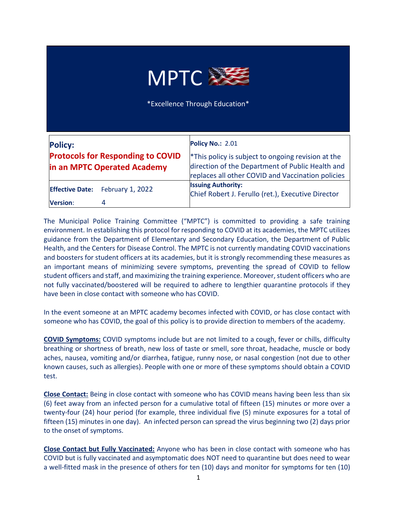

\*Excellence Through Education\*

| <b>Policy:</b><br><b>Protocols for Responding to COVID</b><br>in an MPTC Operated Academy |                         | <b>Policy No.: 2.01</b><br><sup>*</sup> This policy is subject to ongoing revision at the<br>direction of the Department of Public Health and |
|-------------------------------------------------------------------------------------------|-------------------------|-----------------------------------------------------------------------------------------------------------------------------------------------|
|                                                                                           |                         | replaces all other COVID and Vaccination policies                                                                                             |
| <b>Effective Date:</b>                                                                    | <b>February 1, 2022</b> | <b>Issuing Authority:</b><br>Chief Robert J. Ferullo (ret.), Executive Director                                                               |
| Version:                                                                                  | 4                       |                                                                                                                                               |

The Municipal Police Training Committee ("MPTC") is committed to providing a safe training environment. In establishing this protocol for responding to COVID at its academies, the MPTC utilizes guidance from the Department of Elementary and Secondary Education, the Department of Public Health, and the Centers for Disease Control. The MPTC is not currently mandating COVID vaccinations and boosters for student officers at its academies, but it is strongly recommending these measures as an important means of minimizing severe symptoms, preventing the spread of COVID to fellow student officers and staff, and maximizing the training experience. Moreover, student officers who are not fully vaccinated/boostered will be required to adhere to lengthier quarantine protocols if they have been in close contact with someone who has COVID.

In the event someone at an MPTC academy becomes infected with COVID, or has close contact with someone who has COVID, the goal of this policy is to provide direction to members of the academy.

**COVID Symptoms:** COVID symptoms include but are not limited to a cough, fever or chills, difficulty breathing or shortness of breath, new loss of taste or smell, sore throat, headache, muscle or body aches, nausea, vomiting and/or diarrhea, fatigue, runny nose, or nasal congestion (not due to other known causes, such as allergies). People with one or more of these symptoms should obtain a COVID test.

**Close Contact:** Being in close contact with someone who has COVID means having been less than six (6) feet away from an infected person for a cumulative total of fifteen (15) minutes or more over a twenty-four (24) hour period (for example, three individual five (5) minute exposures for a total of fifteen (15) minutes in one day). An infected person can spread the virus beginning two (2) days prior to the onset of symptoms.

**Close Contact but Fully Vaccinated:** Anyone who has been in close contact with someone who has COVID but is fully vaccinated and asymptomatic does NOT need to quarantine but does need to wear a well-fitted mask in the presence of others for ten (10) days and monitor for symptoms for ten (10)